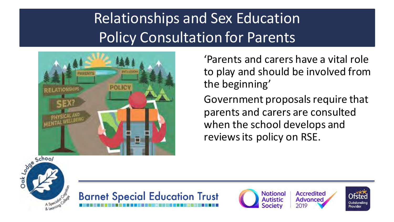#### Relationships and Sex Education Policy Consultation for Parents



'Parents and carers have a vital role to play and should be involved from the beginning'

Government proposals require that parents and carers are consulted when the school develops and reviews its policy on RSE.





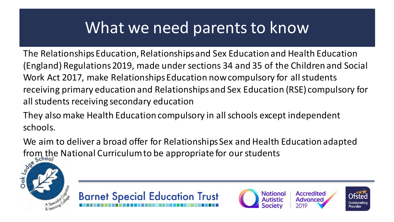#### What we need parents to know

The Relationships Education, Relationships and Sex Education and Health Education (England) Regulations 2019, made under sections 34 and 35 of the Children and Social Work Act 2017, make Relationships Education now compulsory for all students receiving primary education and Relationships and Sex Education (RSE) compulsory for all students receiving secondary education

They also make Health Education compulsory in all schools except independent schools.

**Barnet Special Education Trust** 

We aim to deliver a broad offer for Relationships Sex and Health Education adapted from the National Curriculum to be appropriate for our students

Nationa

Accredited Advanced

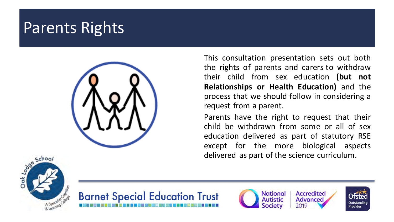#### Parents Rights



This consultation presentation sets out both the rights of parents and carers to withdraw their child from sex education **(but not Relationships or Health Education)** and the process that we should follow in considering a request from a parent.

Parents have the right to request that their child be withdrawn from some or all of sex education delivered as part of statutory RSE except for the more biological aspects delivered as part of the science curriculum.





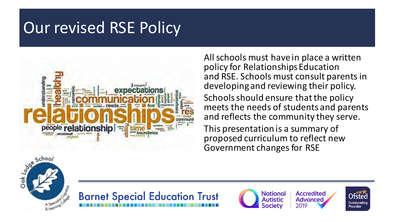#### Our revised RSE Policy



**Barnet Special Education Trust** 

All schools must have in place a written policy for Relationships Education and RSE. Schools must consult parents in developing and reviewing their policy.

Schools should ensure that the policy meets the needs of students and parents and reflects the community they serve.

This presentation is a summary of proposed curriculum to reflect new Government changes for RSE

**National** 

**Autistic** 

Society

**Accredited** 

Advonced

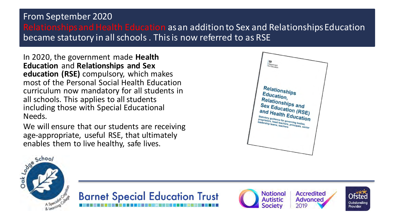#### From September 2020

Relationships and Health Education as an addition to Sex and Relationships Education became statutory in all schools . This is now referred to as RSE

In 2020, the government made **Health Education** and **Relationships and Sex education (RSE)** compulsory, which makes most of the Personal Social Health Education curriculum now mandatory for all students in all schools. This applies to all students including those with Special Educational Needs.

We will ensure that our students are receiving age-appropriate, useful RSE, that ultimately enables them to live healthy, safe lives.





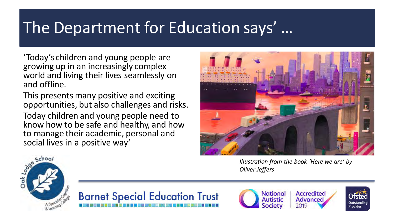## The Department for Education says' …

'Today's children and young people are growing up in an increasingly complex world and living their lives seamlessly on and offline.

This presents many positive and exciting opportunities, but also challenges and risks. Today children and young people need to know how to be safe and healthy, and how to manage their academic, personal and social lives in a positive way'



*Illustration from the book 'Here we are' by Oliver Jeffers* 





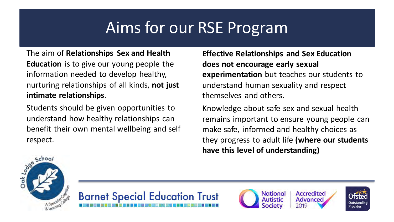#### Aims for our RSE Program

The aim of **Relationships Sex and Health Education** is to give our young people the information needed to develop healthy, nurturing relationships of all kinds, **not just intimate relationships**.

Students should be given opportunities to understand how healthy relationships can benefit their own mental wellbeing and self respect.

**Effective Relationships and Sex Education does not encourage early sexual experimentation** but teaches our students to understand human sexuality and respect themselves and others.

Knowledge about safe sex and sexual health remains important to ensure young people can make safe, informed and healthy choices as they progress to adult life **(where our students have this level of understanding)** 





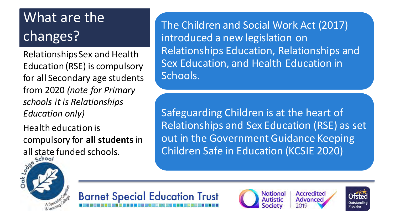#### What are the changes?

Relationships Sex and Health Education (RSE) is compulsory for all Secondary age students from 2020 *(note for Primary schools it is Relationships Education only)*

Health education is compulsory for **all students** in The Children and Social Work Act (2017) introduced a new legislation on Relationships Education, Relationships and Sex Education, and Health Education in Schools.

Safeguarding Children is at the heart of Relationships and Sex Education (RSE) as set out in the Government Guidance Keeping Children Safe in Education (KCSIE 2020)





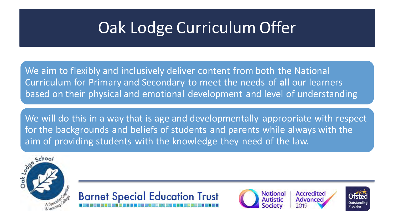## Oak Lodge Curriculum Offer

We aim to flexibly and inclusively deliver content from both the National Curriculum for Primary and Secondary to meet the needs of **all** our learners based on their physical and emotional development and level of understanding

We will do this in a way that is age and developmentally appropriate with respect for the backgrounds and beliefs of students and parents while always with the aim of providing students with the knowledge they need of the law.

Nationa

Autistic

Accredited **Advanced** 

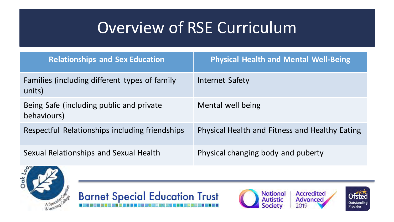## Overview of RSE Curriculum

| <b>Relationships and Sex Education</b>                  | <b>Physical Health and Mental Well-Being</b>   |
|---------------------------------------------------------|------------------------------------------------|
| Families (including different types of family<br>units) | Internet Safety                                |
| Being Safe (including public and private<br>behaviours) | Mental well being                              |
| Respectful Relationships including friendships          | Physical Health and Fitness and Healthy Eating |
| Sexual Relationships and Sexual Health                  | Physical changing body and puberty             |





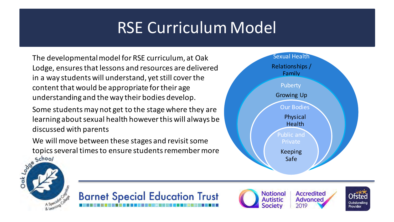## RSE Curriculum Model

The developmental model for RSE curriculum, at Oak Lodge, ensures that lessons and resources are delivered in a way students will understand, yet still cover the content that would be appropriate for their age understanding and the way their bodies develop.

Some students may not get to the stage where they are learning about sexual health however this will always be discussed with parents

We will move between these stages and revisit some







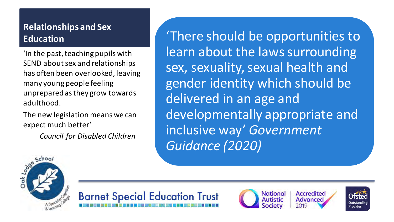#### **Relationships and Sex Education**

'In the past, teaching pupils with SEND about sex and relationships has often been overlooked, leaving many young people feeling unprepared as they grow towards adulthood.

The new legislation means we can expect much better'

*Council for Disabled Children* 

'There should be opportunities to learn about the laws surrounding sex, sexuality, sexual health and gender identity which should be delivered in an age and developmentally appropriate and inclusive way' *Government Guidance (2020)* 





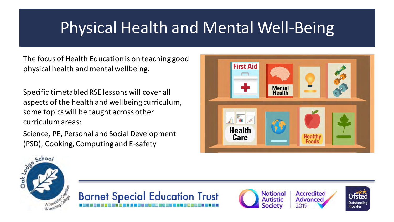## Physical Health and Mental Well-Being

The focus of Health Education is on teaching good physical health and mental wellbeing.

Specific timetabled RSE lessons will cover all aspects of the health and wellbeing curriculum, some topics will be taught across other curriculum areas:

Science, PE, Personal and Social Development (PSD), Cooking, Computing and E-safety







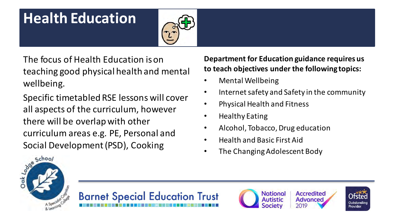#### **Health Education**



The focus of Health Education is on teaching good physical health and mental wellbeing.

Specific timetabled RSE lessons will cover all aspects of the curriculum, however there will be overlap with other curriculum areas e.g. PE, Personal and

**Department for Education guidance requires us to teach objectives under the following topics:**

- Mental Wellbeing
- Internet safety and Safety in the community
- Physical Health and Fitness
- Healthy Eating
- Alcohol, Tobacco, Drug education
- Health and Basic First Aid
- The Changing Adolescent Body





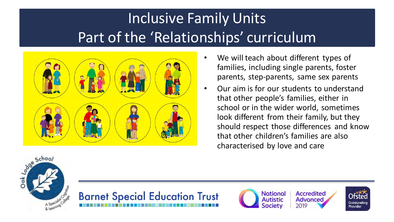#### Inclusive Family Units Part of the 'Relationships' curriculum



- We will teach about different types of families, including single parents, foster parents, step-parents, same sex parents
- Our aim is for our students to understand that other people's families, either in school or in the wider world, sometimes look different from their family, but they should respect those differences and know that other children's families are also characterised by love and care





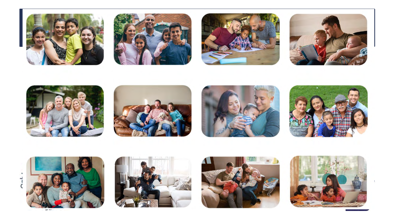























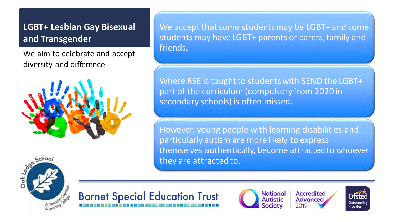#### **LGBT+ Lesbian Gay Bisexual and Transgender**

We aim to celebrate and accept diversity and difference



Date School

We accept that some students may be LGBT+ and some students may have LGBT+ parents or carers, family and friends.

Where RSE is taught to students with SEND the LGBT+ part of the curriculum (compulsory from 2020 in secondary schools) is often missed.

However, young people with learning disabilities and particularly autism are more likely to express themselves authentically, become attracted to whoever they are attracted to.



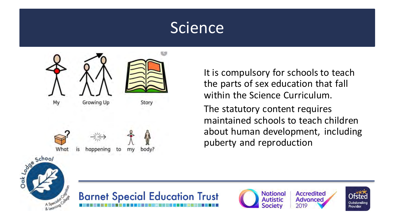#### Science



**Barnet Special Education Trust** 

It is compulsory for schools to teach the parts of sex education that fall within the Science Curriculum.

The statutory content requires maintained schools to teach children about human development, including puberty and reproduction

**National** 

**Autistic** 

**Society** 

**Accredited** 

**Advanced** 

2019

Outstanding

Provider

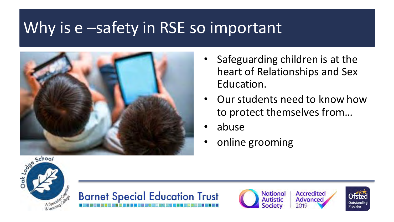#### Why is e –safety in RSE so important

**Barnet Special Education Trust** 



- Safeguarding children is at the heart of Relationships and Sex Education.
- Our students need to know how to protect themselves from…

**National** 

**Autistic** 

**Accredited** 

**Advanced** 

- abuse
- online grooming

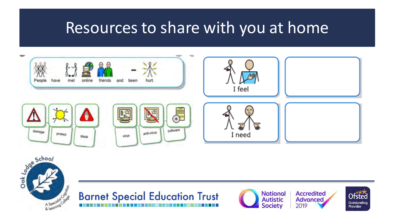#### Resources to share with you at home



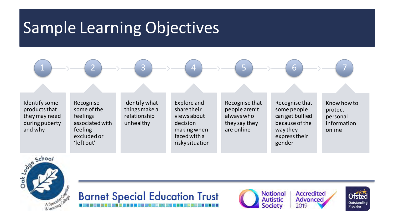#### Sample Learning Objectives









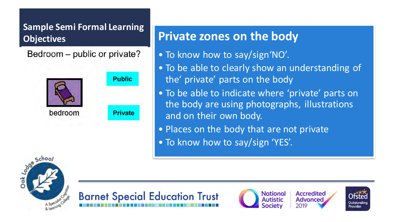# **Sample Semi Formal Learning**

Bedroom – public or private?



bedroom



**Barnet Special Education Trust** 

#### **Objectives** *Private zones on the body*

- To know how to say/sign'NO'.
- To be able to clearly show an understanding of the' private' parts on the body
- To be able to indicate where 'private' parts on the body are using photographs, illustrations and on their own body.

**National** 

Autistic

**Accredited** 

**Advonced** 

- Places on the body that are not private
- To know how to say/sign 'YES'.

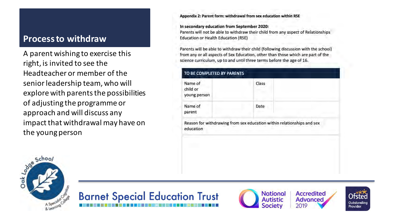#### **Process to withdraw**

A parent wishing to exercise this right, is invited to see the Headteacher or member of the senior leadership team, who will explore with parents the possibilities of adjusting the programme or approach and will discuss any impact that withdrawal may have on the young person

Appendix 2: Parent form: withdrawal from sex education within RSE

#### In secondary education from September 2020:

Parents will not be able to withdraw their child from any aspect of Relationships **Education or Health Education (RSE)** 

Parents will be able to withdraw their child (following discussion with the school) from any or all aspects of Sex Education, other than those which are part of the science curriculum, up to and until three terms before the age of 16.

| Name of<br>Date<br>parent                                                           |
|-------------------------------------------------------------------------------------|
|                                                                                     |
| Reason for withdrawing from sex education within relationships and sex<br>education |





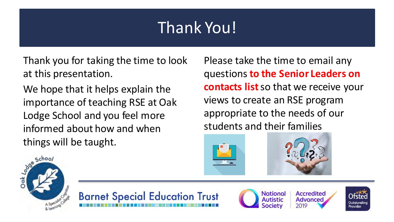## Thank You!

Thank you for taking the time to look at this presentation.

We hope that it helps explain the importance of teaching RSE at Oak Lodge School and you feel more informed about how and when things will be taught.

Please take the time to email any questions **to the Senior Leaders on contacts list** so that we receive your views to create an RSE program appropriate to the needs of our students and their families







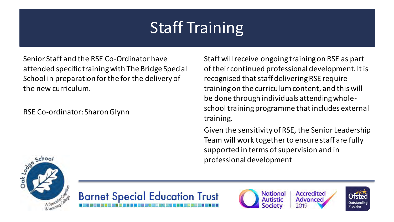## Staff Training

Senior Staff and the RSE Co-Ordinator have attended specific training with The Bridge Special School in preparation for the for the delivery of the new curriculum.

RSE Co-ordinator: Sharon Glynn

Staff will receive ongoing training on RSE as part of their continued professional development. It is recognised that staff delivering RSE require training on the curriculum content, and this will be done through individuals attending wholeschool training programme that includes external training.

Given the sensitivity of RSE, the Senior Leadership Team will work together to ensure staff are fully supported in terms of supervision and in professional development